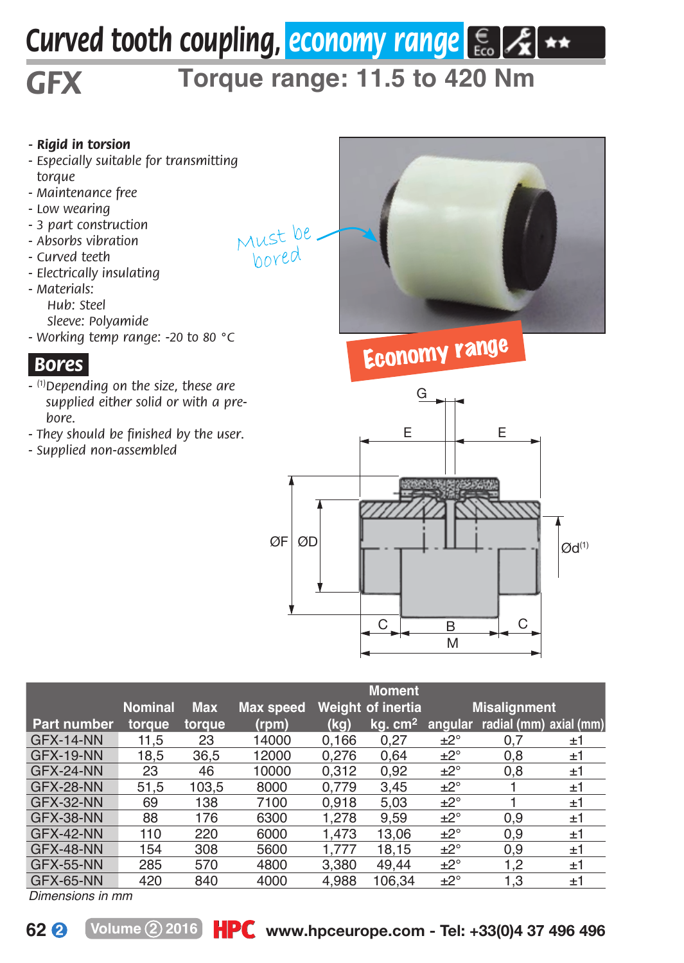# *Curved tooth coupling, economy range*  $\left[\frac{1}{66}, \frac{1}{26}\right]$  \*\*

Must be bored

## *GFX*

## **Torque range: 11.5 to 420 Nm**

#### *- Rigid in torsion*

- *Especially suitable for transmitting torque*
- *Maintenance free*
- *Low wearing*
- *3 part construction*
- *Absorbs vibration*
- *Curved teeth*
- *Electrically insulating*
- *M aterials: Hub: Steel Sleeve: Polyamide*
- *Working temp range: -20 to 80 °C*

### *.Bores.*

- *(1)Depending on the size, these are supplied either solid or with a prebore.*
- *They should be finished by the user.*
- *Supplied non-assembled*



## Economy range



|                    |                |            |           |       | <b>Moment</b>       |              |                        |    |
|--------------------|----------------|------------|-----------|-------|---------------------|--------------|------------------------|----|
|                    | <b>Nominal</b> | <b>Max</b> | Max speed |       | Weight of inertia   |              | <b>Misalignment</b>    |    |
| <b>Part number</b> | torque         | toraue     | (rpm)     | (kg)  | kg. cm <sup>2</sup> | angular      | radial (mm) axial (mm) |    |
| <b>GFX-14-NN</b>   | 11.5           | 23         | 14000     | 0.166 | 0.27                | ±2°          | 0.7                    | ±1 |
| <b>GFX-19-NN</b>   | 18.5           | 36.5       | 12000     | 0.276 | 0.64                | ±2°          | 0.8                    | ±1 |
| GFX-24-NN          | 23             | 46         | 10000     | 0.312 | 0.92                | ±2°          | 0.8                    | ±1 |
| GFX-28-NN          | 51.5           | 103.5      | 8000      | 0.779 | 3.45                | ±2°          |                        | ±1 |
| GFX-32-NN          | 69             | 138        | 7100      | 0.918 | 5.03                | ±2°          |                        | ±1 |
| GFX-38-NN          | 88             | 176        | 6300      | 1.278 | 9.59                | ±2°          | 0,9                    | ±1 |
| GFX-42-NN          | 110            | 220        | 6000      | 1.473 | 13.06               | ±2°          | 0,9                    | ±1 |
| GFX-48-NN          | 154            | 308        | 5600      | 1.777 | 18.15               | $+2^{\circ}$ | 0.9                    | ±1 |
| <b>GFX-55-NN</b>   | 285            | 570        | 4800      | 3.380 | 49.44               | $+2^{\circ}$ | 1.2                    | ±1 |
| GFX-65-NN          | 420            | 840        | 4000      | 4.988 | 106.34              | ±2°          | 1.3                    | ±1 |

*Dimensions in mm*

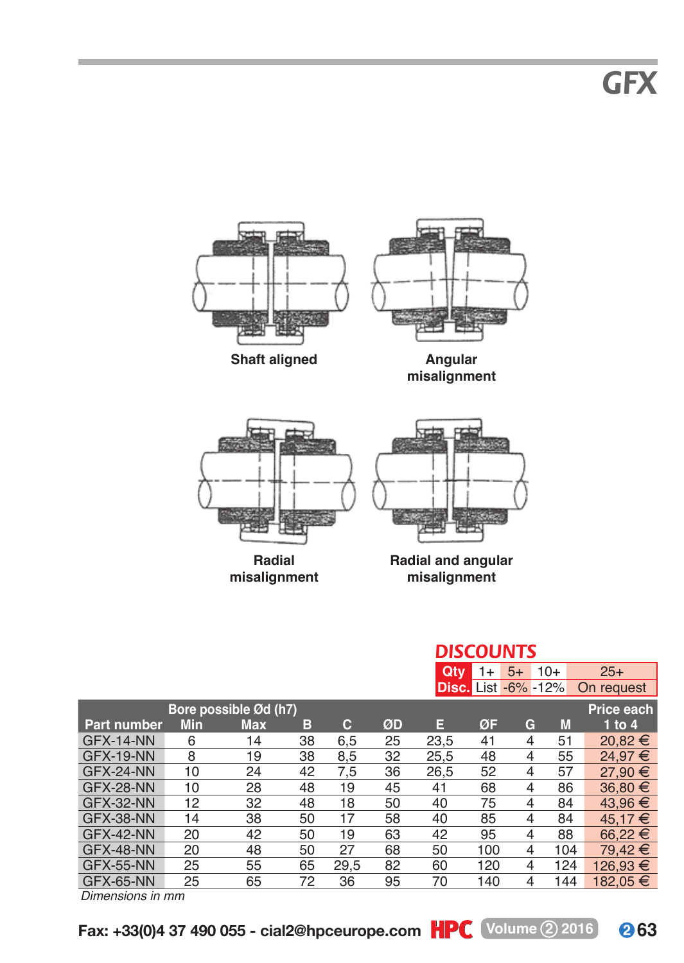*GFX*





**misalignment**



**Radial and angular misalignment**

|                       |     |            |    |      |    | <b>DISCOUNTS</b> |      |                            |       |             |  |  |
|-----------------------|-----|------------|----|------|----|------------------|------|----------------------------|-------|-------------|--|--|
|                       |     |            |    |      |    | Qtv              | $1+$ | $5+$                       | $10+$ | $25+$       |  |  |
|                       |     |            |    |      |    |                  |      | <b>Disc.</b> List -6% -12% |       | On request  |  |  |
| Bore possible Ød (h7) |     |            |    |      |    |                  |      |                            |       | Price each  |  |  |
| <b>Part number</b>    | Min | <b>Max</b> | в  | с    | ØD | Е                | ØF   | G                          | M     | 1 to 4      |  |  |
| GFX-14-NN             | 6   | 14         | 38 | 6,5  | 25 | 23,5             | 41   | 4                          | 51    | $20.82 \in$ |  |  |
| GFX-19-NN             | 8   | 19         | 38 | 8,5  | 32 | 25.5             | 48   | 4                          | 55    | 24.97 €     |  |  |
| GFX-24-NN             | 10  | 24         | 42 | 7,5  | 36 | 26.5             | 52   | 4                          | 57    | 27,90 €     |  |  |
| GFX-28-NN             | 10  | 28         | 48 | 19   | 45 | 41               | 68   | 4                          | 86    | 36,80 €     |  |  |
| GFX-32-NN             | 12  | 32         | 48 | 18   | 50 | 40               | 75   | 4                          | 84    | 43.96 €     |  |  |
| GFX-38-NN             | 14  | 38         | 50 | 17   | 58 | 40               | 85   | 4                          | 84    | 45.17 €     |  |  |
| GFX-42-NN             | 20  | 42         | 50 | 19   | 63 | 42               | 95   | 4                          | 88    | $66.22 \in$ |  |  |
| GFX-48-NN             | 20  | 48         | 50 | 27   | 68 | 50               | 100  | 4                          | 104   | 79.42 €     |  |  |
| GFX-55-NN             | 25  | 55         | 65 | 29.5 | 82 | 60               | 120  | 4                          | 124   | 126.93 €    |  |  |
| GFX-65-NN             | 25  | 65         | 72 | 36   | 95 | 70               | 140  | 4                          | 144   | 182.05 €    |  |  |

*Dimensions in mm*